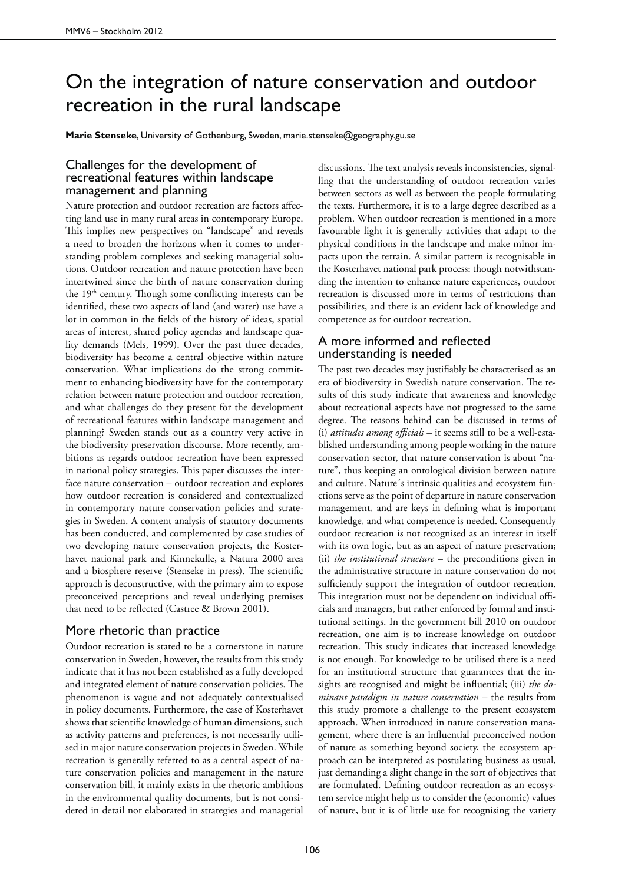## On the integration of nature conservation and outdoor recreation in the rural landscape

**Marie Stenseke**, University of Gothenburg, Sweden, marie.stenseke@geography.gu.se

## Challenges for the development of recreational features within landscape management and planning

Nature protection and outdoor recreation are factors affecting land use in many rural areas in contemporary Europe. This implies new perspectives on "landscape" and reveals a need to broaden the horizons when it comes to understanding problem complexes and seeking managerial solutions. Outdoor recreation and nature protection have been intertwined since the birth of nature conservation during the 19<sup>th</sup> century. Though some conflicting interests can be identified, these two aspects of land (and water) use have a lot in common in the fields of the history of ideas, spatial areas of interest, shared policy agendas and landscape quality demands (Mels, 1999). Over the past three decades, biodiversity has become a central objective within nature conservation. What implications do the strong commitment to enhancing biodiversity have for the contemporary relation between nature protection and outdoor recreation, and what challenges do they present for the development of recreational features within landscape management and planning? Sweden stands out as a country very active in the biodiversity preservation discourse. More recently, ambitions as regards outdoor recreation have been expressed in national policy strategies. This paper discusses the interface nature conservation – outdoor recreation and explores how outdoor recreation is considered and contextualized in contemporary nature conservation policies and strategies in Sweden. A content analysis of statutory documents has been conducted, and complemented by case studies of two developing nature conservation projects, the Kosterhavet national park and Kinnekulle, a Natura 2000 area and a biosphere reserve (Stenseke in press). The scientific approach is deconstructive, with the primary aim to expose preconceived perceptions and reveal underlying premises that need to be reflected (Castree & Brown 2001).

## More rhetoric than practice

Outdoor recreation is stated to be a cornerstone in nature conservation in Sweden, however, the results from this study indicate that it has not been established as a fully developed and integrated element of nature conservation policies. The phenomenon is vague and not adequately contextualised in policy documents. Furthermore, the case of Kosterhavet shows that scientific knowledge of human dimensions, such as activity patterns and preferences, is not necessarily utilised in major nature conservation projects in Sweden. While recreation is generally referred to as a central aspect of nature conservation policies and management in the nature conservation bill, it mainly exists in the rhetoric ambitions in the environmental quality documents, but is not considered in detail nor elaborated in strategies and managerial

discussions. The text analysis reveals inconsistencies, signalling that the understanding of outdoor recreation varies between sectors as well as between the people formulating the texts. Furthermore, it is to a large degree described as a problem. When outdoor recreation is mentioned in a more favourable light it is generally activities that adapt to the physical conditions in the landscape and make minor impacts upon the terrain. A similar pattern is recognisable in the Kosterhavet national park process: though notwithstanding the intention to enhance nature experiences, outdoor recreation is discussed more in terms of restrictions than possibilities, and there is an evident lack of knowledge and competence as for outdoor recreation.

## A more informed and reflected understanding is needed

The past two decades may justifiably be characterised as an era of biodiversity in Swedish nature conservation. The results of this study indicate that awareness and knowledge about recreational aspects have not progressed to the same degree. The reasons behind can be discussed in terms of (i) *attitudes among officials* – it seems still to be a well-established understanding among people working in the nature conservation sector, that nature conservation is about "nature", thus keeping an ontological division between nature and culture. Nature´s intrinsic qualities and ecosystem functions serve as the point of departure in nature conservation management, and are keys in defining what is important knowledge, and what competence is needed. Consequently outdoor recreation is not recognised as an interest in itself with its own logic, but as an aspect of nature preservation; (ii) *the institutional structure* – the preconditions given in the administrative structure in nature conservation do not sufficiently support the integration of outdoor recreation. This integration must not be dependent on individual officials and managers, but rather enforced by formal and institutional settings. In the government bill 2010 on outdoor recreation, one aim is to increase knowledge on outdoor recreation. This study indicates that increased knowledge is not enough. For knowledge to be utilised there is a need for an institutional structure that guarantees that the insights are recognised and might be influential; (iii) *the dominant paradigm in nature conservation* – the results from this study promote a challenge to the present ecosystem approach. When introduced in nature conservation management, where there is an influential preconceived notion of nature as something beyond society, the ecosystem approach can be interpreted as postulating business as usual, just demanding a slight change in the sort of objectives that are formulated. Defining outdoor recreation as an ecosystem service might help us to consider the (economic) values of nature, but it is of little use for recognising the variety